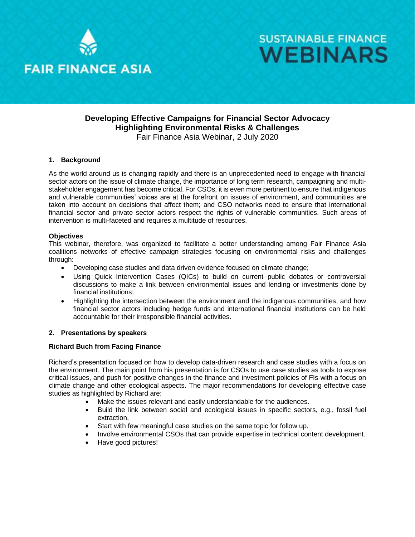



### **Developing Effective Campaigns for Financial Sector Advocacy Highlighting Environmental Risks & Challenges** Fair Finance Asia Webinar, 2 July 2020

#### **1. Background**

As the world around us is changing rapidly and there is an unprecedented need to engage with financial sector actors on the issue of climate change, the importance of long term research, campaigning and multistakeholder engagement has become critical. For CSOs, it is even more pertinent to ensure that indigenous and vulnerable communities' voices are at the forefront on issues of environment, and communities are taken into account on decisions that affect them; and CSO networks need to ensure that international financial sector and private sector actors respect the rights of vulnerable communities. Such areas of intervention is multi-faceted and requires a multitude of resources.

#### **Objectives**

This webinar, therefore, was organized to facilitate a better understanding among Fair Finance Asia coalitions networks of effective campaign strategies focusing on environmental risks and challenges through:

- Developing case studies and data driven evidence focused on climate change;
- Using Quick Intervention Cases (QICs) to build on current public debates or controversial discussions to make a link between environmental issues and lending or investments done by financial institutions;
- Highlighting the intersection between the environment and the indigenous communities, and how financial sector actors including hedge funds and international financial institutions can be held accountable for their irresponsible financial activities.

#### **2. Presentations by speakers**

#### **Richard Buch from Facing Finance**

Richard's presentation focused on how to develop data-driven research and case studies with a focus on the environment. The main point from his presentation is for CSOs to use case studies as tools to expose critical issues, and push for positive changes in the finance and investment policies of FIs with a focus on climate change and other ecological aspects. The major recommendations for developing effective case studies as highlighted by Richard are:

- Make the issues relevant and easily understandable for the audiences.
- Build the link between social and ecological issues in specific sectors, e.g., fossil fuel extraction.
- Start with few meaningful case studies on the same topic for follow up.
- Involve environmental CSOs that can provide expertise in technical content development.
- Have good pictures!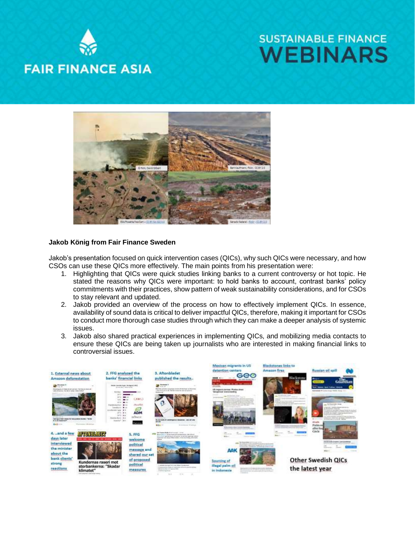# **FAIR FINANCE ASIA**

## **SUSTAINABLE FINANCE WEBINARS**



#### **Jakob König from Fair Finance Sweden**

Jakob's presentation focused on quick intervention cases (QICs), why such QICs were necessary, and how CSOs can use these QICs more effectively. The main points from his presentation were:

- 1. Highlighting that QICs were quick studies linking banks to a current controversy or hot topic. He stated the reasons why QICs were important: to hold banks to account, contrast banks' policy commitments with their practices, show pattern of weak sustainability considerations, and for CSOs to stay relevant and updated.
- 2. Jakob provided an overview of the process on how to effectively implement QICs. In essence, availability of sound data is critical to deliver impactful QICs, therefore, making it important for CSOs to conduct more thorough case studies through which they can make a deeper analysis of systemic issues.
- 3. Jakob also shared practical experiences in implementing QICs, and mobilizing media contacts to ensure these QICs are being taken up journalists who are interested in making financial links to controversial issues.

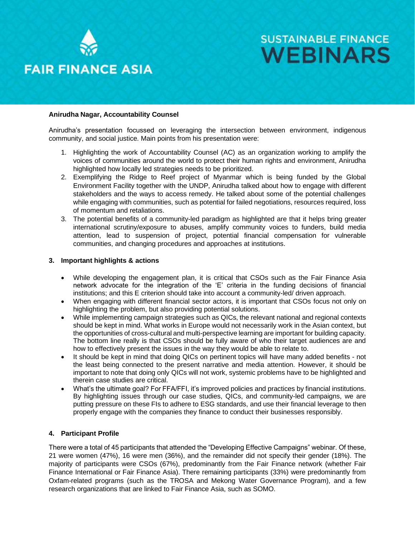

**FAIR FINANCE ASIA** 

## **SUSTAINABLE FINANCE WEBINARS**

#### **Anirudha Nagar, Accountability Counsel**

Anirudha's presentation focussed on leveraging the intersection between environment, indigenous community, and social justice. Main points from his presentation were:

- 1. Highlighting the work of Accountability Counsel (AC) as an organization working to amplify the voices of communities around the world to protect their human rights and environment, Anirudha highlighted how locally led strategies needs to be prioritized.
- 2. Exemplifying the Ridge to Reef project of Myanmar which is being funded by the Global Environment Facility together with the UNDP, Anirudha talked about how to engage with different stakeholders and the ways to access remedy. He talked about some of the potential challenges while engaging with communities, such as potential for failed negotiations, resources required, loss of momentum and retaliations.
- 3. The potential benefits of a community-led paradigm as highlighted are that it helps bring greater international scrutiny/exposure to abuses, amplify community voices to funders, build media attention, lead to suspension of project, potential financial compensation for vulnerable communities, and changing procedures and approaches at institutions.

#### **3. Important highlights & actions**

- While developing the engagement plan, it is critical that CSOs such as the Fair Finance Asia network advocate for the integration of the 'E' criteria in the funding decisions of financial institutions; and this E criterion should take into account a community-led/ driven approach.
- When engaging with different financial sector actors, it is important that CSOs focus not only on highlighting the problem, but also providing potential solutions.
- While implementing campaign strategies such as QICs, the relevant national and regional contexts should be kept in mind. What works in Europe would not necessarily work in the Asian context, but the opportunities of cross-cultural and multi-perspective learning are important for building capacity. The bottom line really is that CSOs should be fully aware of who their target audiences are and how to effectively present the issues in the way they would be able to relate to.
- It should be kept in mind that doing QICs on pertinent topics will have many added benefits not the least being connected to the present narrative and media attention. However, it should be important to note that doing only QICs will not work, systemic problems have to be highlighted and therein case studies are critical.
- What's the ultimate goal? For FFA/FFI, it's improved policies and practices by financial institutions. By highlighting issues through our case studies, QICs, and community-led campaigns, we are putting pressure on these FIs to adhere to ESG standards, and use their financial leverage to then properly engage with the companies they finance to conduct their businesses responsibly.

#### **4. Participant Profile**

There were a total of 45 participants that attended the "Developing Effective Campaigns" webinar. Of these, 21 were women (47%), 16 were men (36%), and the remainder did not specify their gender (18%). The majority of participants were CSOs (67%), predominantly from the Fair Finance network (whether Fair Finance International or Fair Finance Asia). There remaining participants (33%) were predominantly from Oxfam-related programs (such as the TROSA and Mekong Water Governance Program), and a few research organizations that are linked to Fair Finance Asia, such as SOMO.